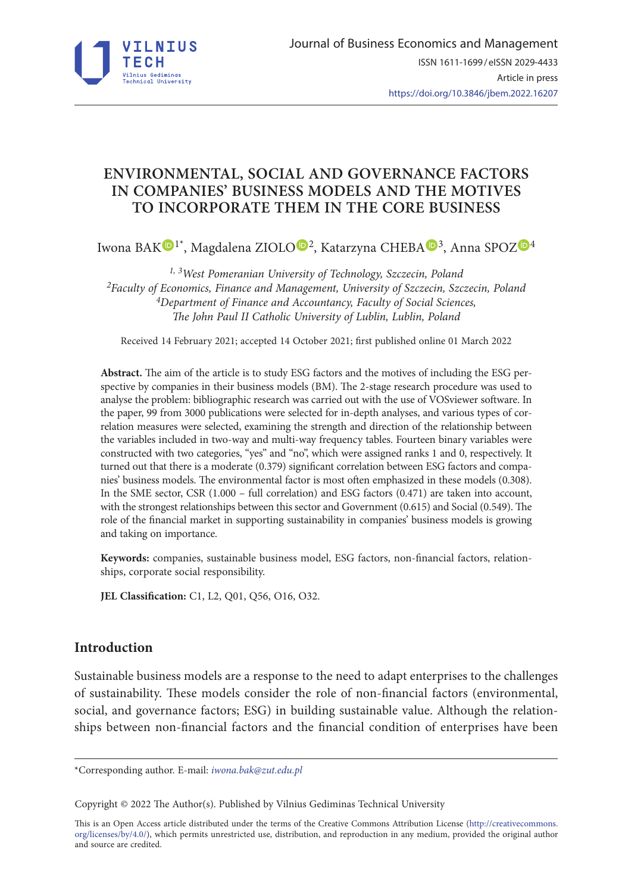

# **ENVIRONMENTAL, SOCIAL AND GOVERNANCE FACTORS IN COMPANIES' BUSINESS MODELS AND THE MOTIVES TO INCORPORATE THEM IN THE CORE BUSINESS**

Iwona BA[K](https://orcid.org/0000-0001-8959-7269)<sup>[O](https://orcid.org/0000-0003-4136-046X)</sup><sup>1\*</sup>, Magdalena ZIOLO<sup>O<sub>2</sub></sup>, Katarzyna CHEBA<sup>O<sub>[3](https://orcid.org/0000-0001-8753-7764)</sub></sup>, Anna SPO[Z](https://orcid.org/0000-0001-5071-0017)<sup>O4</sup>

<sup>1, 3</sup>West Pomeranian University of Technology, Szczecin, Poland<br><sup>2</sup>Faculty of Economics, Finance and Management, University of Szczecin, Szczecin, Poland<br><sup>4</sup>Department of Finance and Accountancy, Faculty of Social Science *The John Paul II Catholic University of Lublin, Lublin, Poland*

Received 14 February 2021; accepted 14 October 2021; first published online 01 March 2022

**Abstract.** The aim of the article is to study ESG factors and the motives of including the ESG perspective by companies in their business models (BM). The 2-stage research procedure was used to analyse the problem: bibliographic research was carried out with the use of VOSviewer software. In the paper, 99 from 3000 publications were selected for in-depth analyses, and various types of correlation measures were selected, examining the strength and direction of the relationship between the variables included in two-way and multi-way frequency tables. Fourteen binary variables were constructed with two categories, "yes" and "no", which were assigned ranks 1 and 0, respectively. It turned out that there is a moderate (0.379) significant correlation between ESG factors and companies' business models. The environmental factor is most often emphasized in these models (0.308). In the SME sector, CSR (1.000 – full correlation) and ESG factors (0.471) are taken into account, with the strongest relationships between this sector and Government (0.615) and Social (0.549). The role of the financial market in supporting sustainability in companies' business models is growing and taking on importance.

**Keywords:** companies, sustainable business model, ESG factors, non-financial factors, relationships, corporate social responsibility.

**JEL Classification:** C1, L2, Q01, Q56, O16, O32.

## **Introduction**

Sustainable business models are a response to the need to adapt enterprises to the challenges of sustainability. These models consider the role of non-financial factors (environmental, social, and governance factors; ESG) in building sustainable value. Although the relationships between non-financial factors and the financial condition of enterprises have been

Copyright © 2022 The Author(s). Published by Vilnius Gediminas Technical University

This is an Open Access article distributed under the terms of the Creative Commons Attribution License ([http://creativecommons.](http://creativecommons.org/licenses/by/4.0/) [org/licenses/by/4.0/\)](http://creativecommons.org/licenses/by/4.0/), which permits unrestricted use, distribution, and reproduction in any medium, provided the original author and source are credited.

<sup>\*</sup>Corresponding author. E-mail: *[iwona.bak@zut.edu.pl](mailto:iwona.bak@zut.edu.pl)*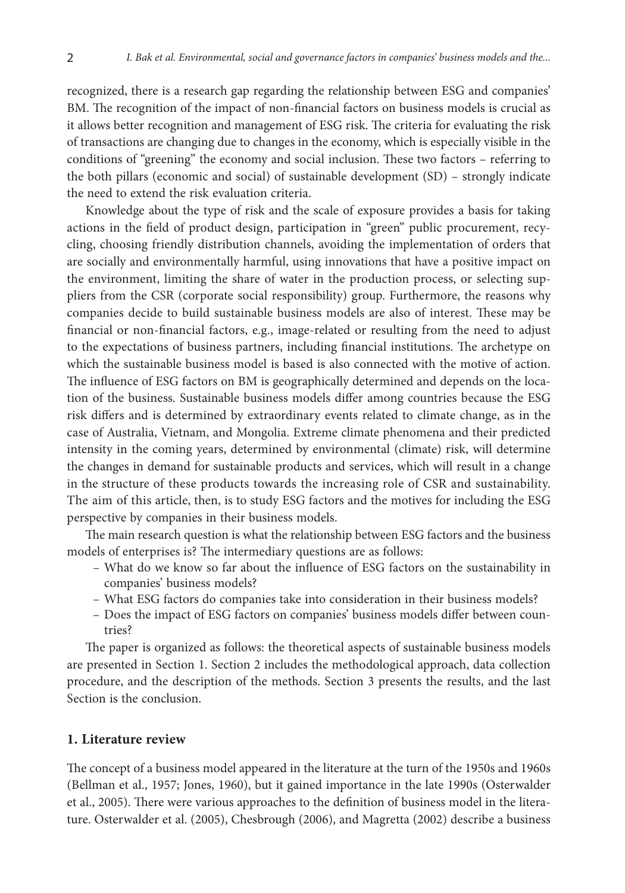recognized, there is a research gap regarding the relationship between ESG and companies' BM. The recognition of the impact of non-financial factors on business models is crucial as it allows better recognition and management of ESG risk. The criteria for evaluating the risk of transactions are changing due to changes in the economy, which is especially visible in the conditions of "greening" the economy and social inclusion. These two factors – referring to the both pillars (economic and social) of sustainable development (SD) – strongly indicate the need to extend the risk evaluation criteria.

Knowledge about the type of risk and the scale of exposure provides a basis for taking actions in the field of product design, participation in "green" public procurement, recycling, choosing friendly distribution channels, avoiding the implementation of orders that are socially and environmentally harmful, using innovations that have a positive impact on the environment, limiting the share of water in the production process, or selecting suppliers from the CSR (corporate social responsibility) group. Furthermore, the reasons why companies decide to build sustainable business models are also of interest. These may be financial or non-financial factors, e.g., image-related or resulting from the need to adjust to the expectations of business partners, including financial institutions. The archetype on which the sustainable business model is based is also connected with the motive of action. The influence of ESG factors on BM is geographically determined and depends on the location of the business. Sustainable business models differ among countries because the ESG risk differs and is determined by extraordinary events related to climate change, as in the case of Australia, Vietnam, and Mongolia. Extreme climate phenomena and their predicted intensity in the coming years, determined by environmental (climate) risk, will determine the changes in demand for sustainable products and services, which will result in a change in the structure of these products towards the increasing role of CSR and sustainability. The aim of this article, then, is to study ESG factors and the motives for including the ESG perspective by companies in their business models.

The main research question is what the relationship between ESG factors and the business models of enterprises is? The intermediary questions are as follows:

- What do we know so far about the influence of ESG factors on the sustainability in companies' business models?
- What ESG factors do companies take into consideration in their business models?
- Does the impact of ESG factors on companies' business models differ between countries?

The paper is organized as follows: the theoretical aspects of sustainable business models are presented in Section 1. Section 2 includes the methodological approach, data collection procedure, and the description of the methods. Section 3 presents the results, and the last Section is the conclusion.

## **1. Literature review**

The concept of a business model appeared in the literature at the turn of the 1950s and 1960s (Bellman et al., 1957; Jones, 1960), but it gained importance in the late 1990s (Osterwalder et al., 2005). There were various approaches to the definition of business model in the literature. Osterwalder et al. (2005), Chesbrough (2006), and Magretta (2002) describe a business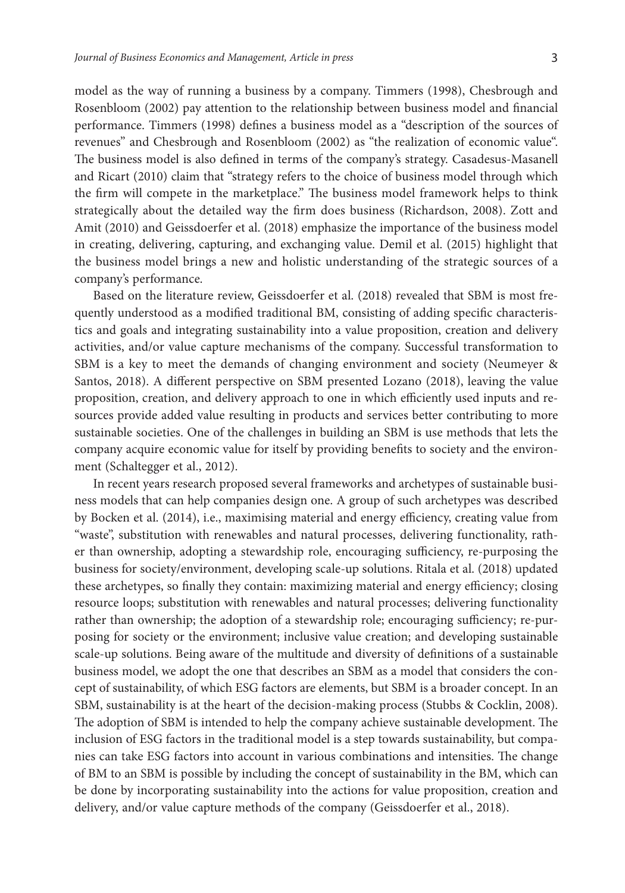model as the way of running a business by a company. Timmers (1998), Chesbrough and Rosenbloom (2002) pay attention to the relationship between business model and financial performance. Timmers (1998) defines a business model as a "description of the sources of revenues" and Chesbrough and Rosenbloom (2002) as "the realization of economic value". The business model is also defined in terms of the company's strategy. Casadesus-Masanell and Ricart (2010) claim that "strategy refers to the choice of business model through which the firm will compete in the marketplace." The business model framework helps to think strategically about the detailed way the firm does business (Richardson, 2008). Zott and Amit (2010) and Geissdoerfer et al. (2018) emphasize the importance of the business model in creating, delivering, capturing, and exchanging value. Demil et al. (2015) highlight that the business model brings a new and holistic understanding of the strategic sources of a company's performance.

Based on the literature review, Geissdoerfer et al. (2018) revealed that SBM is most frequently understood as a modified traditional BM, consisting of adding specific characteristics and goals and integrating sustainability into a value proposition, creation and delivery activities, and/or value capture mechanisms of the company. Successful transformation to SBM is a key to meet the demands of changing environment and society (Neumeyer & Santos, 2018). A different perspective on SBM presented Lozano (2018), leaving the value proposition, creation, and delivery approach to one in which efficiently used inputs and resources provide added value resulting in products and services better contributing to more sustainable societies. One of the challenges in building an SBM is use methods that lets the company acquire economic value for itself by providing benefits to society and the environment (Schaltegger et al., 2012).

In recent years research proposed several frameworks and archetypes of sustainable business models that can help companies design one. A group of such archetypes was described by Bocken et al. (2014), i.e., maximising material and energy efficiency, creating value from "waste", substitution with renewables and natural processes, delivering functionality, rather than ownership, adopting a stewardship role, encouraging sufficiency, re-purposing the business for society/environment, developing scale-up solutions. Ritala et al. (2018) updated these archetypes, so finally they contain: maximizing material and energy efficiency; closing resource loops; substitution with renewables and natural processes; delivering functionality rather than ownership; the adoption of a stewardship role; encouraging sufficiency; re-purposing for society or the environment; inclusive value creation; and developing sustainable scale-up solutions. Being aware of the multitude and diversity of definitions of a sustainable business model, we adopt the one that describes an SBM as a model that considers the concept of sustainability, of which ESG factors are elements, but SBM is a broader concept. In an SBM, sustainability is at the heart of the decision-making process (Stubbs & Cocklin, 2008). The adoption of SBM is intended to help the company achieve sustainable development. The inclusion of ESG factors in the traditional model is a step towards sustainability, but companies can take ESG factors into account in various combinations and intensities. The change of BM to an SBM is possible by including the concept of sustainability in the BM, which can be done by incorporating sustainability into the actions for value proposition, creation and delivery, and/or value capture methods of the company (Geissdoerfer et al., 2018).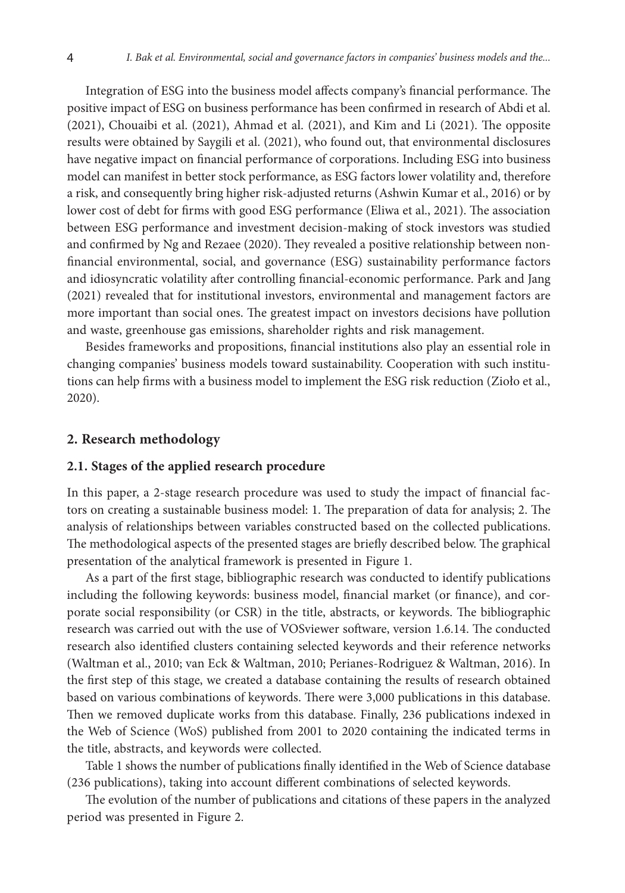Integration of ESG into the business model affects company's financial performance. The positive impact of ESG on business performance has been confirmed in research of Abdi et al. (2021), Chouaibi et al. (2021), Ahmad et al. (2021), and Kim and Li (2021). The opposite results were obtained by Saygili et al. (2021), who found out, that environmental disclosures have negative impact on financial performance of corporations. Including ESG into business model can manifest in better stock performance, as ESG factors lower volatility and, therefore a risk, and consequently bring higher risk-adjusted returns (Ashwin Kumar et al., 2016) or by lower cost of debt for firms with good ESG performance (Eliwa et al., 2021). The association between ESG performance and investment decision-making of stock investors was studied and confirmed by Ng and Rezaee (2020). They revealed a positive relationship between nonfinancial environmental, social, and governance (ESG) sustainability performance factors and idiosyncratic volatility after controlling financial-economic performance. Park and Jang (2021) revealed that for institutional investors, environmental and management factors are more important than social ones. The greatest impact on investors decisions have pollution and waste, greenhouse gas emissions, shareholder rights and risk management.

Besides frameworks and propositions, financial institutions also play an essential role in changing companies' business models toward sustainability. Cooperation with such institutions can help firms with a business model to implement the ESG risk reduction (Zioło et al., 2020).

### **2. Research methodology**

### **2.1. Stages of the applied research procedure**

In this paper, a 2-stage research procedure was used to study the impact of financial factors on creating a sustainable business model: 1. The preparation of data for analysis; 2. The analysis of relationships between variables constructed based on the collected publications. The methodological aspects of the presented stages are briefly described below. The graphical presentation of the analytical framework is presented in Figure 1.

As a part of the first stage, bibliographic research was conducted to identify publications including the following keywords: business model, financial market (or finance), and corporate social responsibility (or CSR) in the title, abstracts, or keywords. The bibliographic research was carried out with the use of VOSviewer software, version 1.6.14. The conducted research also identified clusters containing selected keywords and their reference networks (Waltman et al., 2010; van Eck & Waltman, 2010; Perianes-Rodriguez & Waltman, 2016). In the first step of this stage, we created a database containing the results of research obtained based on various combinations of keywords. There were 3,000 publications in this database. Then we removed duplicate works from this database. Finally, 236 publications indexed in the Web of Science (WoS) published from 2001 to 2020 containing the indicated terms in the title, abstracts, and keywords were collected.

Table 1 shows the number of publications finally identified in the Web of Science database (236 publications), taking into account different combinations of selected keywords.

The evolution of the number of publications and citations of these papers in the analyzed period was presented in Figure 2.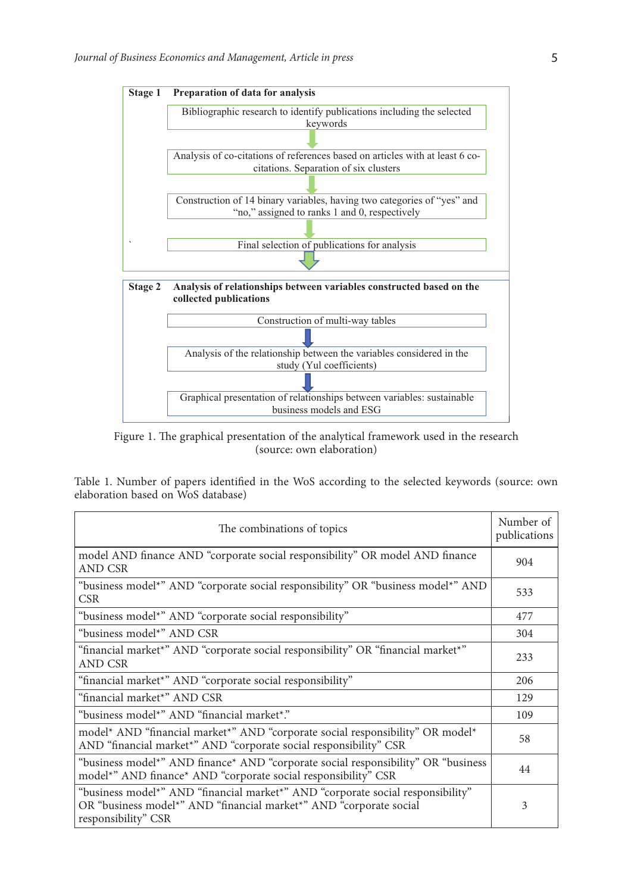

Figure 1. The graphical presentation of the analytical framework used in the research (source: own elaboration)

Table 1. Number of papers identified in the WoS according to the selected keywords (source: own elaboration based on WoS database)

| The combinations of topics                                                                                                                                                    |     |  |  |  |  |  |
|-------------------------------------------------------------------------------------------------------------------------------------------------------------------------------|-----|--|--|--|--|--|
| model AND finance AND "corporate social responsibility" OR model AND finance<br>AND CSR                                                                                       | 904 |  |  |  |  |  |
| "business model*" AND "corporate social responsibility" OR "business model*" AND<br>CSR.                                                                                      | 533 |  |  |  |  |  |
| "business model*" AND "corporate social responsibility"                                                                                                                       | 477 |  |  |  |  |  |
| "business model*" AND CSR                                                                                                                                                     | 304 |  |  |  |  |  |
| "financial market*" AND "corporate social responsibility" OR "financial market*"<br>AND CSR                                                                                   | 233 |  |  |  |  |  |
| "financial market*" AND "corporate social responsibility"                                                                                                                     | 206 |  |  |  |  |  |
| "financial market*" AND CSR                                                                                                                                                   | 129 |  |  |  |  |  |
| "business model*" AND "financial market*."                                                                                                                                    | 109 |  |  |  |  |  |
| model* AND "financial market*" AND "corporate social responsibility" OR model*<br>AND "financial market*" AND "corporate social responsibility" CSR                           | 58  |  |  |  |  |  |
| "business model <sup>*</sup> " AND finance <sup>*</sup> AND "corporate social responsibility" OR "business"<br>model*" AND finance* AND "corporate social responsibility" CSR | 44  |  |  |  |  |  |
| "business model*" AND "financial market*" AND "corporate social responsibility"<br>OR "business model*" AND "financial market*" AND "corporate social<br>responsibility" CSR  | 3   |  |  |  |  |  |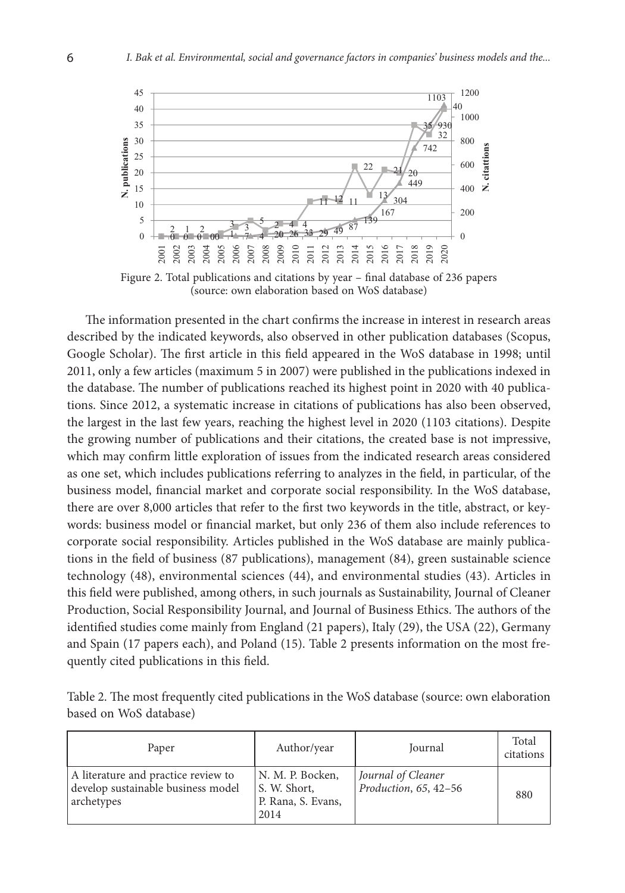

Figure 2. Total publications and citations by year – final database of 236 papers (source: own elaboration based on WoS database)

The information presented in the chart confirms the increase in interest in research areas described by the indicated keywords, also observed in other publication databases (Scopus, Google Scholar). The first article in this field appeared in the WoS database in 1998; until 2011, only a few articles (maximum 5 in 2007) were published in the publications indexed in the database. The number of publications reached its highest point in 2020 with 40 publications. Since 2012, a systematic increase in citations of publications has also been observed, the largest in the last few years, reaching the highest level in 2020 (1103 citations). Despite the growing number of publications and their citations, the created base is not impressive, which may confirm little exploration of issues from the indicated research areas considered as one set, which includes publications referring to analyzes in the field, in particular, of the business model, financial market and corporate social responsibility. In the WoS database, there are over 8,000 articles that refer to the first two keywords in the title, abstract, or keywords: business model or financial market, but only 236 of them also include references to corporate social responsibility. Articles published in the WoS database are mainly publications in the field of business (87 publications), management (84), green sustainable science technology (48), environmental sciences (44), and environmental studies (43). Articles in this field were published, among others, in such journals as Sustainability, Journal of Cleaner Production, Social Responsibility Journal, and Journal of Business Ethics. The authors of the identified studies come mainly from England (21 papers), Italy (29), the USA (22), Germany and Spain (17 papers each), and Poland (15). Table 2 presents information on the most frequently cited publications in this field.

| Table 2. The most frequently cited publications in the WoS database (source: own elaboration |  |  |
|----------------------------------------------------------------------------------------------|--|--|
| based on WoS database)                                                                       |  |  |

| Paper                                                                                   | Author/year                                                    | Journal                                     | Total<br>citations |
|-----------------------------------------------------------------------------------------|----------------------------------------------------------------|---------------------------------------------|--------------------|
| A literature and practice review to<br>develop sustainable business model<br>archetypes | N. M. P. Bocken,<br>S. W. Short,<br>P. Rana, S. Evans,<br>2014 | Journal of Cleaner<br>Production, 65, 42-56 | 880                |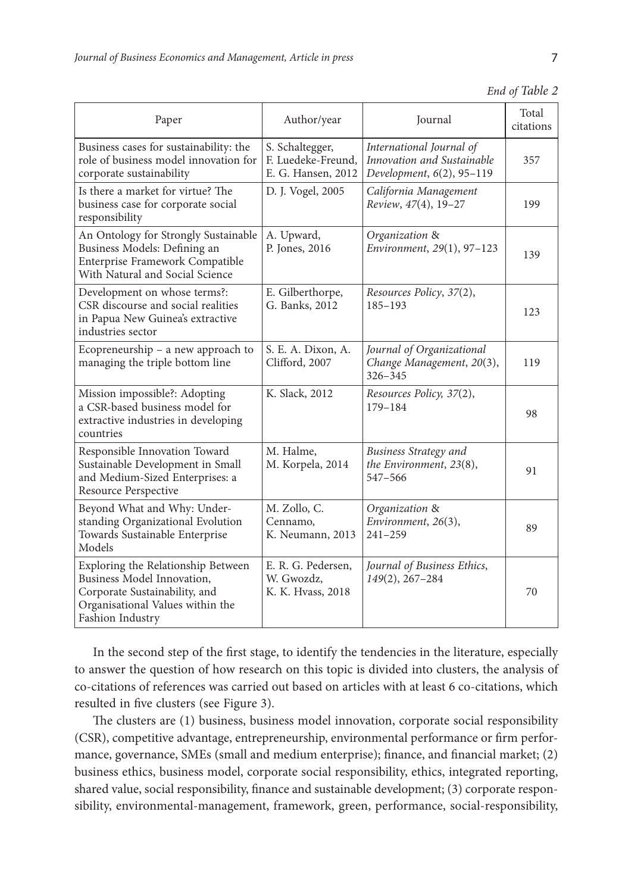| I |
|---|
|   |
|   |

| Paper                                                                                                                                                     | Author/year                                                 | Journal                                                                             | Total<br>citations |
|-----------------------------------------------------------------------------------------------------------------------------------------------------------|-------------------------------------------------------------|-------------------------------------------------------------------------------------|--------------------|
| Business cases for sustainability: the<br>role of business model innovation for<br>corporate sustainability                                               | S. Schaltegger,<br>F. Luedeke-Freund,<br>E. G. Hansen, 2012 | International Journal of<br>Innovation and Sustainable<br>Development, 6(2), 95-119 | 357                |
| Is there a market for virtue? The<br>business case for corporate social<br>responsibility                                                                 | D. J. Vogel, 2005                                           | California Management<br>Review, 47(4), 19-27                                       | 199                |
| An Ontology for Strongly Sustainable<br>Business Models: Defining an<br>Enterprise Framework Compatible<br>With Natural and Social Science                | A. Upward,<br>P. Jones, 2016                                | Organization &<br>Environment, 29(1), 97-123                                        | 139                |
| Development on whose terms?:<br>CSR discourse and social realities<br>in Papua New Guinea's extractive<br>industries sector                               | E. Gilberthorpe,<br>G. Banks, 2012                          | Resources Policy, 37(2),<br>185-193                                                 | 123                |
| Ecopreneurship – a new approach to<br>managing the triple bottom line                                                                                     | S. E. A. Dixon, A.<br>Clifford, 2007                        | Journal of Organizational<br>Change Management, 20(3),<br>326-345                   | 119                |
| Mission impossible?: Adopting<br>a CSR-based business model for<br>extractive industries in developing<br>countries                                       | K. Slack, 2012                                              | Resources Policy, 37(2),<br>179-184                                                 | 98                 |
| Responsible Innovation Toward<br>Sustainable Development in Small<br>and Medium-Sized Enterprises: a<br>Resource Perspective                              | M. Halme,<br>M. Korpela, 2014                               | Business Strategy and<br>the Environment, 23(8),<br>547-566                         | 91                 |
| Beyond What and Why: Under-<br>standing Organizational Evolution<br>Towards Sustainable Enterprise<br>Models                                              | M. Zollo, C.<br>Cennamo,<br>K. Neumann, 2013                | Organization &<br>Environment, 26(3),<br>$241 - 259$                                | 89                 |
| Exploring the Relationship Between<br>Business Model Innovation,<br>Corporate Sustainability, and<br>Organisational Values within the<br>Fashion Industry | E. R. G. Pedersen,<br>W. Gwozdz,<br>K. K. Hyass, 2018       | Journal of Business Ethics,<br>$149(2)$ , 267-284                                   | 70                 |

*End of Table 2*

In the second step of the first stage, to identify the tendencies in the literature, especially to answer the question of how research on this topic is divided into clusters, the analysis of co-citations of references was carried out based on articles with at least 6 co-citations, which resulted in five clusters (see Figure 3).

The clusters are (1) business, business model innovation, corporate social responsibility (CSR), competitive advantage, entrepreneurship, environmental performance or firm performance, governance, SMEs (small and medium enterprise); finance, and financial market; (2) business ethics, business model, corporate social responsibility, ethics, integrated reporting, shared value, social responsibility, finance and sustainable development; (3) corporate responsibility, environmental-management, framework, green, performance, social-responsibility,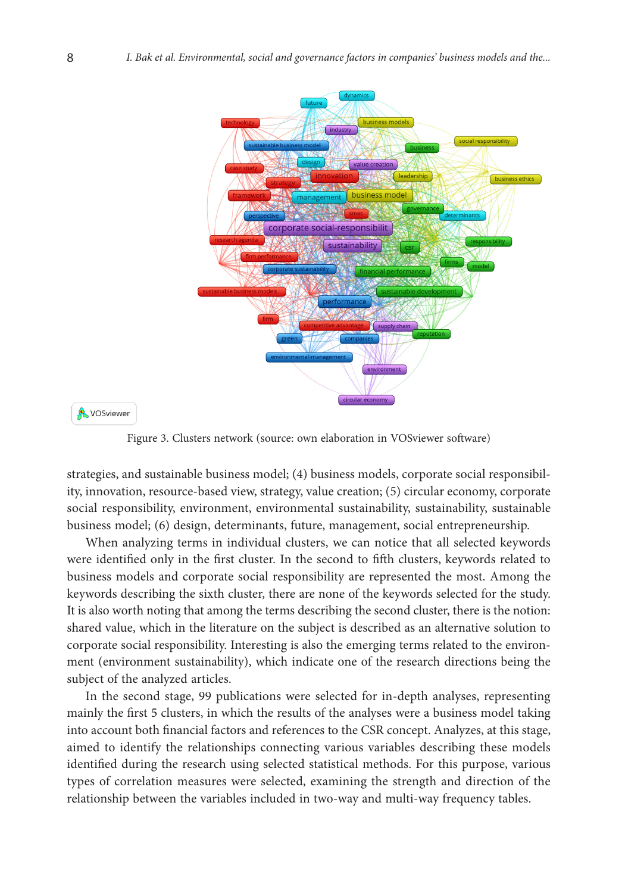

**A** VOSviewer

Figure 3. Clusters network (source: own elaboration in VOSviewer software)

strategies, and sustainable business model; (4) business models, corporate social responsibility, innovation, resource-based view, strategy, value creation; (5) circular economy, corporate social responsibility, environment, environmental sustainability, sustainability, sustainable business model; (6) design, determinants, future, management, social entrepreneurship.

When analyzing terms in individual clusters, we can notice that all selected keywords were identified only in the first cluster. In the second to fifth clusters, keywords related to business models and corporate social responsibility are represented the most. Among the keywords describing the sixth cluster, there are none of the keywords selected for the study. It is also worth noting that among the terms describing the second cluster, there is the notion: shared value, which in the literature on the subject is described as an alternative solution to corporate social responsibility. Interesting is also the emerging terms related to the environment (environment sustainability), which indicate one of the research directions being the subject of the analyzed articles.

In the second stage, 99 publications were selected for in-depth analyses, representing mainly the first 5 clusters, in which the results of the analyses were a business model taking into account both financial factors and references to the CSR concept. Analyzes, at this stage, aimed to identify the relationships connecting various variables describing these models identified during the research using selected statistical methods. For this purpose, various types of correlation measures were selected, examining the strength and direction of the relationship between the variables included in two-way and multi-way frequency tables.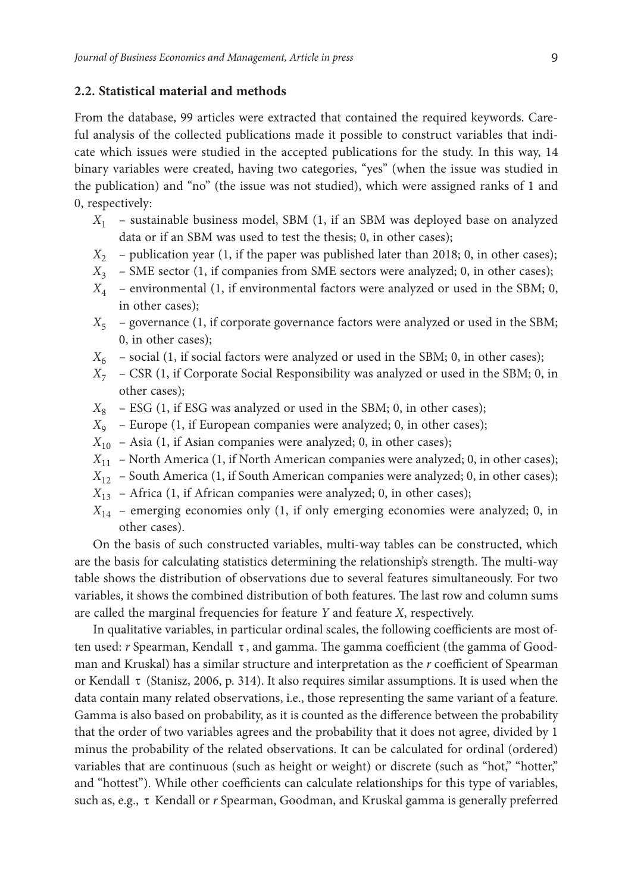### **2.2. Statistical material and methods**

From the database, 99 articles were extracted that contained the required keywords. Careful analysis of the collected publications made it possible to construct variables that indicate which issues were studied in the accepted publications for the study. In this way, 14 binary variables were created, having two categories, "yes" (when the issue was studied in the publication) and "no" (the issue was not studied), which were assigned ranks of 1 and 0, respectively:

- *X*<sup>1</sup> sustainable business model, SBM (1, if an SBM was deployed base on analyzed data or if an SBM was used to test the thesis; 0, in other cases);
- *X*<sup>2</sup> publication year (1, if the paper was published later than 2018; 0, in other cases);
- *X*<sup>3</sup> SME sector (1, if companies from SME sectors were analyzed; 0, in other cases);
- *X*<sup>4</sup> environmental (1, if environmental factors were analyzed or used in the SBM; 0, in other cases);
- $X<sub>5</sub>$  governance (1, if corporate governance factors were analyzed or used in the SBM; 0, in other cases);
- $X_6$  social (1, if social factors were analyzed or used in the SBM; 0, in other cases);
- *X*<sup>7</sup> CSR (1, if Corporate Social Responsibility was analyzed or used in the SBM; 0, in other cases);
- $X_8$  ESG (1, if ESG was analyzed or used in the SBM; 0, in other cases);
- *X*<sup>9</sup> Europe (1, if European companies were analyzed; 0, in other cases);
- $X_{10}$  Asia (1, if Asian companies were analyzed; 0, in other cases);
- *X*<sup>11</sup> North America (1, if North American companies were analyzed; 0, in other cases);
- $X_{12}$  South America (1, if South American companies were analyzed; 0, in other cases);
- $X_{13}$  Africa (1, if African companies were analyzed; 0, in other cases);
- $X_{14}$  emerging economies only (1, if only emerging economies were analyzed; 0, in other cases).

On the basis of such constructed variables, multi-way tables can be constructed, which are the basis for calculating statistics determining the relationship's strength. The multi-way table shows the distribution of observations due to several features simultaneously. For two variables, it shows the combined distribution of both features. The last row and column sums are called the marginal frequencies for feature *Y* and feature *X*, respectively.

In qualitative variables, in particular ordinal scales, the following coefficients are most often used: *r* Spearman, Kendall τ , and gamma. The gamma coefficient (the gamma of Goodman and Kruskal) has a similar structure and interpretation as the *r* coefficient of Spearman or Kendall τ (Stanisz, 2006, p. 314). It also requires similar assumptions. It is used when the data contain many related observations, i.e., those representing the same variant of a feature. Gamma is also based on probability, as it is counted as the difference between the probability that the order of two variables agrees and the probability that it does not agree, divided by 1 minus the probability of the related observations. It can be calculated for ordinal (ordered) variables that are continuous (such as height or weight) or discrete (such as "hot," "hotter," and "hottest"). While other coefficients can calculate relationships for this type of variables, such as, e.g., τ Kendall or *r* Spearman, Goodman, and Kruskal gamma is generally preferred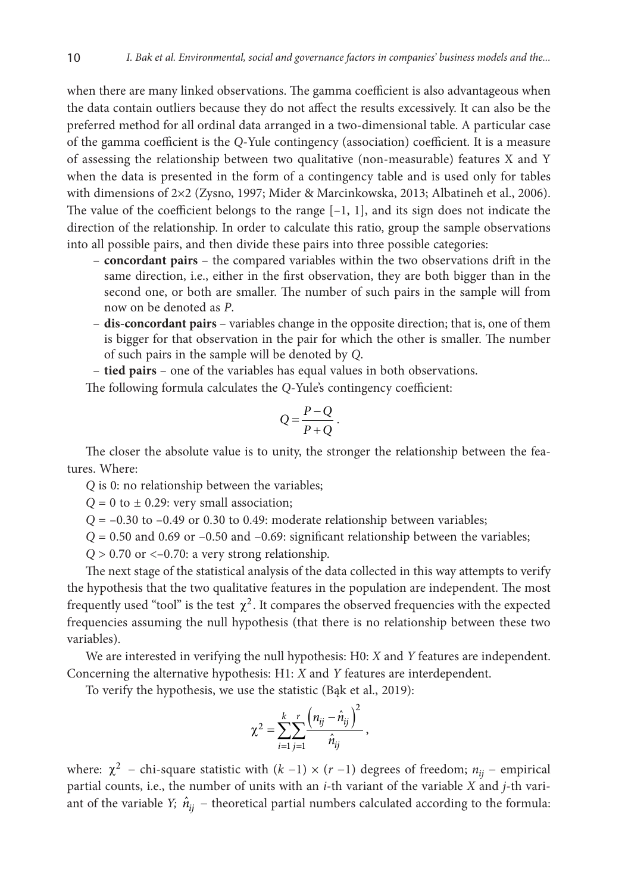when there are many linked observations. The gamma coefficient is also advantageous when the data contain outliers because they do not affect the results excessively. It can also be the preferred method for all ordinal data arranged in a two-dimensional table. A particular case of the gamma coefficient is the *Q*-Yule contingency (association) coefficient. It is a measure of assessing the relationship between two qualitative (non-measurable) features X and Y when the data is presented in the form of a contingency table and is used only for tables with dimensions of 2×2 (Zysno, 1997; Mider & Marcinkowska, 2013; Albatineh et al., 2006). The value of the coefficient belongs to the range  $[-1, 1]$ , and its sign does not indicate the direction of the relationship. In order to calculate this ratio, group the sample observations into all possible pairs, and then divide these pairs into three possible categories:

- **concordant pairs**  the compared variables within the two observations drift in the same direction, i.e., either in the first observation, they are both bigger than in the second one, or both are smaller. The number of such pairs in the sample will from now on be denoted as *P*.
- **dis-concordant pairs**  variables change in the opposite direction; that is, one of them is bigger for that observation in the pair for which the other is smaller. The number of such pairs in the sample will be denoted by *Q*.

– **tied pairs** – one of the variables has equal values in both observations.

The following formula calculates the *Q*-Yule's contingency coefficient:

$$
Q = \frac{P - Q}{P + Q}.
$$

The closer the absolute value is to unity, the stronger the relationship between the features. Where:

*Q* is 0: no relationship between the variables;

 $Q = 0$  to  $\pm$  0.29: very small association;

 $Q = -0.30$  to  $-0.49$  or 0.30 to 0.49: moderate relationship between variables;

 $Q = 0.50$  and 0.69 or  $-0.50$  and  $-0.69$ : significant relationship between the variables;

 $Q > 0.70$  or  $\lt -0.70$ : a very strong relationship.

The next stage of the statistical analysis of the data collected in this way attempts to verify the hypothesis that the two qualitative features in the population are independent. The most frequently used "tool" is the test  $\chi^2$ . It compares the observed frequencies with the expected frequencies assuming the null hypothesis (that there is no relationship between these two variables).

We are interested in verifying the null hypothesis: H0: *X* and *Y* features are independent. Concerning the alternative hypothesis: H1: *X* and *Y* features are interdependent.

To verify the hypothesis, we use the statistic (Bąk et al., 2019):

$$
\chi^2 = \sum_{i=1}^k \sum_{j=1}^r \frac{\left(n_{ij} - \hat{n}_{ij}\right)^2}{\hat{n}_{ij}},
$$

where:  $\chi^2$  − chi-square statistic with  $(k-1) \times (r-1)$  degrees of freedom;  $n_{ii}$  − empirical partial counts, i.e., the number of units with an *i*-th variant of the variable *X* and *j*-th variant of the variable *Y*;  $\hat{n}_{ij}$  – theoretical partial numbers calculated according to the formula: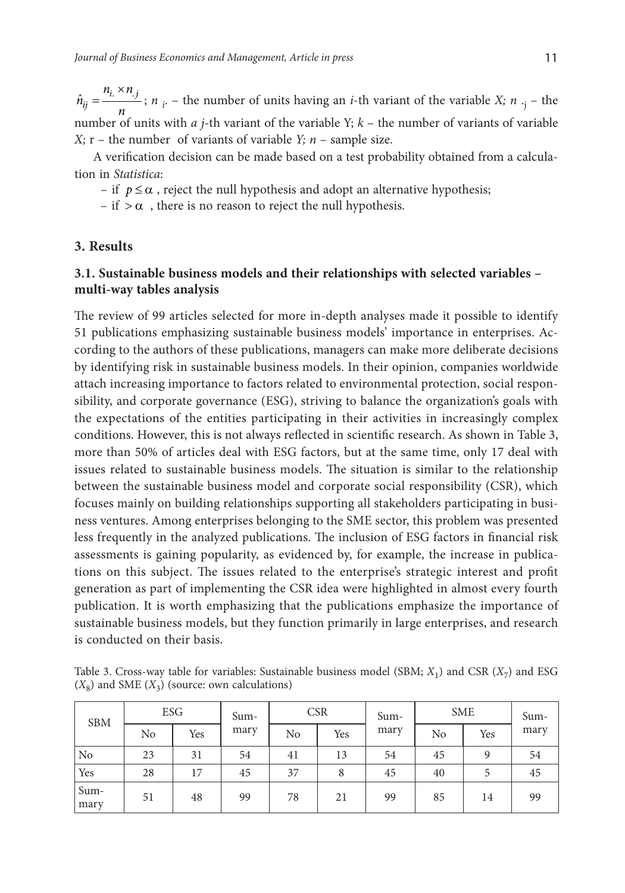$\hat{n}_{ij} = \frac{n_i \times n_{ij}}{n}$  $n_i \times n$  $\hat{n}_{ij} = \frac{n_i \times n_j}{n_i}$ ; *n<sub>i</sub>* – the number of units having an *i*-th variant of the variable *X*; *n*<sub>·j</sub> – the number of units with *a j*-th variant of the variable Y; *k* – the number of variants of variable *X*;  $r$  – the number of variants of variable *Y*;  $n$  – sample size.

A verification decision can be made based on a test probability obtained from a calculation in *Statistica*:

– if  $p \leq \alpha$ , reject the null hypothesis and adopt an alternative hypothesis;

– if  $>\alpha$ , there is no reason to reject the null hypothesis.

## **3. Results**

## **3.1. Sustainable business models and their relationships with selected variables – multi-way tables analysis**

The review of 99 articles selected for more in-depth analyses made it possible to identify 51 publications emphasizing sustainable business models' importance in enterprises. According to the authors of these publications, managers can make more deliberate decisions by identifying risk in sustainable business models. In their opinion, companies worldwide attach increasing importance to factors related to environmental protection, social responsibility, and corporate governance (ESG), striving to balance the organization's goals with the expectations of the entities participating in their activities in increasingly complex conditions. However, this is not always reflected in scientific research. As shown in Table 3, more than 50% of articles deal with ESG factors, but at the same time, only 17 deal with issues related to sustainable business models. The situation is similar to the relationship between the sustainable business model and corporate social responsibility (CSR), which focuses mainly on building relationships supporting all stakeholders participating in business ventures. Among enterprises belonging to the SME sector, this problem was presented less frequently in the analyzed publications. The inclusion of ESG factors in financial risk assessments is gaining popularity, as evidenced by, for example, the increase in publications on this subject. The issues related to the enterprise's strategic interest and profit generation as part of implementing the CSR idea were highlighted in almost every fourth publication. It is worth emphasizing that the publications emphasize the importance of sustainable business models, but they function primarily in large enterprises, and research is conducted on their basis.

Table 3. Cross-way table for variables: Sustainable business model (SBM; *X*1) and CSR (*X*7) and ESG  $(X_8)$  and SME  $(X_3)$  (source: own calculations)

| <b>SBM</b>     |    | ESG |      | <b>CSR</b> |     | Sum- | <b>SME</b> |     | Sum- |
|----------------|----|-----|------|------------|-----|------|------------|-----|------|
|                | No | Yes | mary | No         | Yes | mary | No         | Yes | mary |
| N <sub>0</sub> | 23 | 31  | 54   | 41         | 13  | 54   | 45         | 9   | 54   |
| Yes            | 28 | 17  | 45   | 37         | 8   | 45   | 40         | 5   | 45   |
| Sum-<br>mary   | 51 | 48  | 99   | 78         | 21  | 99   | 85         | 14  | 99   |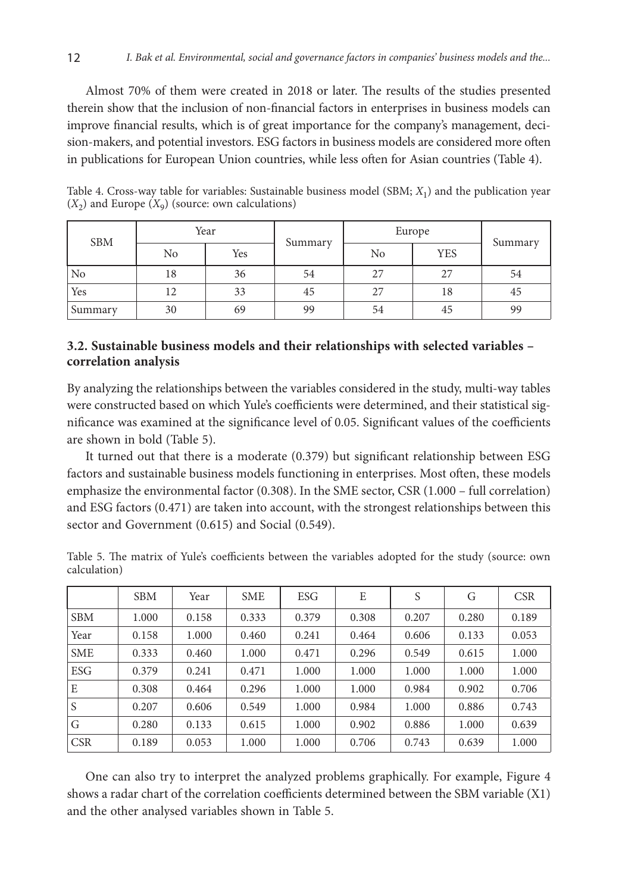Almost 70% of them were created in 2018 or later. The results of the studies presented therein show that the inclusion of non-financial factors in enterprises in business models can improve financial results, which is of great importance for the company's management, decision-makers, and potential investors. ESG factors in business models are considered more often in publications for European Union countries, while less often for Asian countries (Table 4).

| <b>SBM</b>     | Year |     | Summary | Europe |            |         |
|----------------|------|-----|---------|--------|------------|---------|
|                | No   | Yes |         | No     | <b>YES</b> | Summary |
| N <sub>o</sub> | 18   | 36  | 54      | 27     | 27         | 54      |
| Yes            | 12   | 33  | 45      | 27     | 18         | 45      |
| Summary        | 30   | 69  | 99      | 54     | 45         | 99      |

Table 4. Cross-way table for variables: Sustainable business model (SBM; *X*1) and the publication year  $(X_2)$  and Europe  $(X_9)$  (source: own calculations)

## **3.2. Sustainable business models and their relationships with selected variables – correlation analysis**

By analyzing the relationships between the variables considered in the study, multi-way tables were constructed based on which Yule's coefficients were determined, and their statistical significance was examined at the significance level of 0.05. Significant values of the coefficients are shown in bold (Table 5).

It turned out that there is a moderate (0.379) but significant relationship between ESG factors and sustainable business models functioning in enterprises. Most often, these models emphasize the environmental factor (0.308). In the SME sector, CSR (1.000 – full correlation) and ESG factors (0.471) are taken into account, with the strongest relationships between this sector and Government (0.615) and Social (0.549).

Table 5. The matrix of Yule's coefficients between the variables adopted for the study (source: own calculation)

|            | <b>SBM</b> | Year  | <b>SME</b> | ESG   | E     | S     | G     | <b>CSR</b> |
|------------|------------|-------|------------|-------|-------|-------|-------|------------|
| <b>SBM</b> | 1.000      | 0.158 | 0.333      | 0.379 | 0.308 | 0.207 | 0.280 | 0.189      |
| Year       | 0.158      | 1.000 | 0.460      | 0.241 | 0.464 | 0.606 | 0.133 | 0.053      |
| <b>SME</b> | 0.333      | 0.460 | 1.000      | 0.471 | 0.296 | 0.549 | 0.615 | 1.000      |
| <b>ESG</b> | 0.379      | 0.241 | 0.471      | 1.000 | 1.000 | 1.000 | 1.000 | 1.000      |
| E          | 0.308      | 0.464 | 0.296      | 1.000 | 1.000 | 0.984 | 0.902 | 0.706      |
| S          | 0.207      | 0.606 | 0.549      | 1.000 | 0.984 | 1.000 | 0.886 | 0.743      |
| G          | 0.280      | 0.133 | 0.615      | 1.000 | 0.902 | 0.886 | 1.000 | 0.639      |
| <b>CSR</b> | 0.189      | 0.053 | 1.000      | 1.000 | 0.706 | 0.743 | 0.639 | 1.000      |

One can also try to interpret the analyzed problems graphically. For example, Figure 4 shows a radar chart of the correlation coefficients determined between the SBM variable (X1) and the other analysed variables shown in Table 5.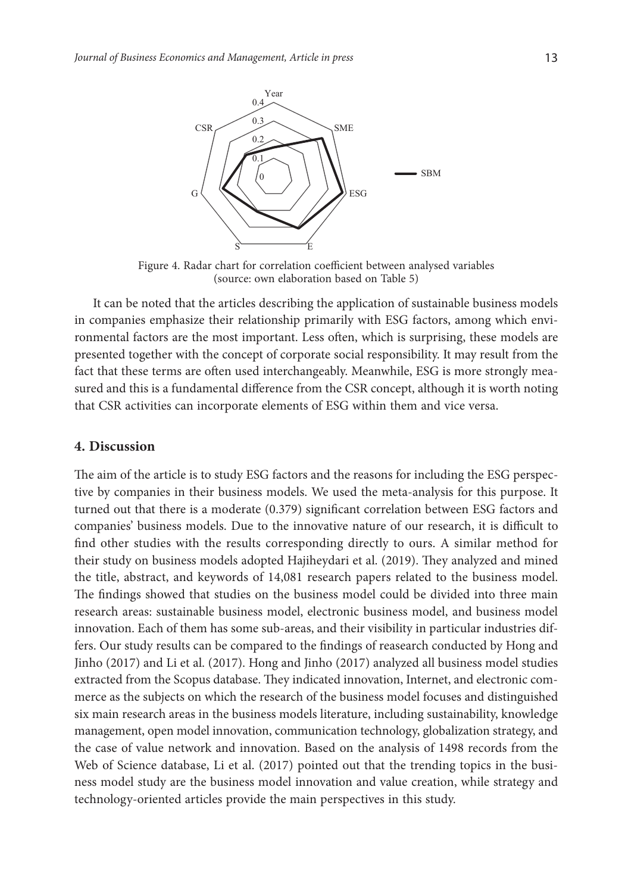

Figure 4. Radar chart for correlation coefficient between analysed variables (source: own elaboration based on Table 5)

It can be noted that the articles describing the application of sustainable business models in companies emphasize their relationship primarily with ESG factors, among which environmental factors are the most important. Less often, which is surprising, these models are presented together with the concept of corporate social responsibility. It may result from the fact that these terms are often used interchangeably. Meanwhile, ESG is more strongly measured and this is a fundamental difference from the CSR concept, although it is worth noting that CSR activities can incorporate elements of ESG within them and vice versa.

## **4. Discussion**

The aim of the article is to study ESG factors and the reasons for including the ESG perspective by companies in their business models. We used the meta-analysis for this purpose. It turned out that there is a moderate (0.379) significant correlation between ESG factors and companies' business models. Due to the innovative nature of our research, it is difficult to find other studies with the results corresponding directly to ours. A similar method for their study on business models adopted Hajiheydari et al. (2019). They analyzed and mined the title, abstract, and keywords of 14,081 research papers related to the business model. The findings showed that studies on the business model could be divided into three main research areas: sustainable business model, electronic business model, and business model innovation. Each of them has some sub-areas, and their visibility in particular industries differs. Our study results can be compared to the findings of reasearch conducted by Hong and Jinho (2017) and Li et al. (2017). Hong and Jinho (2017) analyzed all business model studies extracted from the Scopus database. They indicated innovation, Internet, and electronic commerce as the subjects on which the research of the business model focuses and distinguished six main research areas in the business models literature, including sustainability, knowledge management, open model innovation, communication technology, globalization strategy, and the case of value network and innovation. Based on the analysis of 1498 records from the Web of Science database, Li et al. (2017) pointed out that the trending topics in the business model study are the business model innovation and value creation, while strategy and technology-oriented articles provide the main perspectives in this study.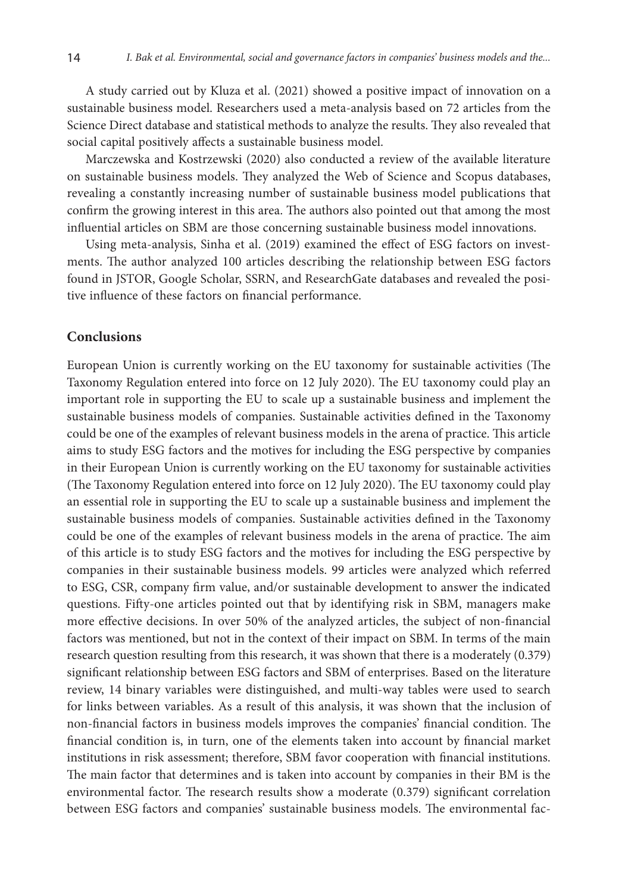A study carried out by Kluza et al. (2021) showed a positive impact of innovation on a sustainable business model. Researchers used a meta-analysis based on 72 articles from the Science Direct database and statistical methods to analyze the results. They also revealed that social capital positively affects a sustainable business model.

Marczewska and Kostrzewski (2020) also conducted a review of the available literature on sustainable business models. They analyzed the Web of Science and Scopus databases, revealing a constantly increasing number of sustainable business model publications that confirm the growing interest in this area. The authors also pointed out that among the most influential articles on SBM are those concerning sustainable business model innovations.

Using meta-analysis, Sinha et al. (2019) examined the effect of ESG factors on investments. The author analyzed 100 articles describing the relationship between ESG factors found in JSTOR, Google Scholar, SSRN, and ResearchGate databases and revealed the positive influence of these factors on financial performance.

### **Conclusions**

European Union is currently working on the EU taxonomy for sustainable activities (The Taxonomy Regulation entered into force on 12 July 2020). The EU taxonomy could play an important role in supporting the EU to scale up a sustainable business and implement the sustainable business models of companies. Sustainable activities defined in the Taxonomy could be one of the examples of relevant business models in the arena of practice. This article aims to study ESG factors and the motives for including the ESG perspective by companies in their European Union is currently working on the EU taxonomy for sustainable activities (The Taxonomy Regulation entered into force on 12 July 2020). The EU taxonomy could play an essential role in supporting the EU to scale up a sustainable business and implement the sustainable business models of companies. Sustainable activities defined in the Taxonomy could be one of the examples of relevant business models in the arena of practice. The aim of this article is to study ESG factors and the motives for including the ESG perspective by companies in their sustainable business models. 99 articles were analyzed which referred to ESG, CSR, company firm value, and/or sustainable development to answer the indicated questions. Fifty-one articles pointed out that by identifying risk in SBM, managers make more effective decisions. In over 50% of the analyzed articles, the subject of non-financial factors was mentioned, but not in the context of their impact on SBM. In terms of the main research question resulting from this research, it was shown that there is a moderately (0.379) significant relationship between ESG factors and SBM of enterprises. Based on the literature review, 14 binary variables were distinguished, and multi-way tables were used to search for links between variables. As a result of this analysis, it was shown that the inclusion of non-financial factors in business models improves the companies' financial condition. The financial condition is, in turn, one of the elements taken into account by financial market institutions in risk assessment; therefore, SBM favor cooperation with financial institutions. The main factor that determines and is taken into account by companies in their BM is the environmental factor. The research results show a moderate (0.379) significant correlation between ESG factors and companies' sustainable business models. The environmental fac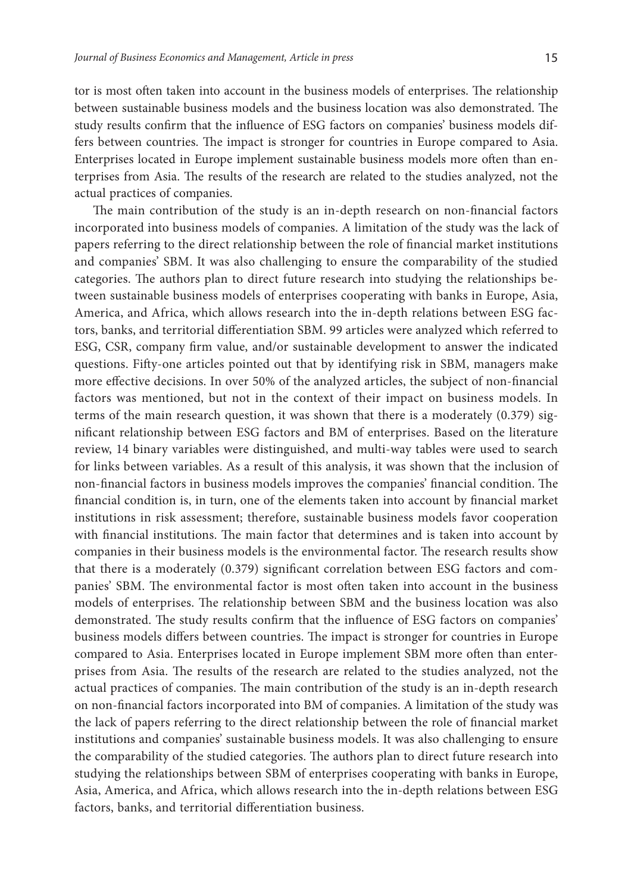tor is most often taken into account in the business models of enterprises. The relationship between sustainable business models and the business location was also demonstrated. The study results confirm that the influence of ESG factors on companies' business models differs between countries. The impact is stronger for countries in Europe compared to Asia. Enterprises located in Europe implement sustainable business models more often than enterprises from Asia. The results of the research are related to the studies analyzed, not the actual practices of companies.

The main contribution of the study is an in-depth research on non-financial factors incorporated into business models of companies. A limitation of the study was the lack of papers referring to the direct relationship between the role of financial market institutions and companies' SBM. It was also challenging to ensure the comparability of the studied categories. The authors plan to direct future research into studying the relationships between sustainable business models of enterprises cooperating with banks in Europe, Asia, America, and Africa, which allows research into the in-depth relations between ESG factors, banks, and territorial differentiation SBM. 99 articles were analyzed which referred to ESG, CSR, company firm value, and/or sustainable development to answer the indicated questions. Fifty-one articles pointed out that by identifying risk in SBM, managers make more effective decisions. In over 50% of the analyzed articles, the subject of non-financial factors was mentioned, but not in the context of their impact on business models. In terms of the main research question, it was shown that there is a moderately (0.379) significant relationship between ESG factors and BM of enterprises. Based on the literature review, 14 binary variables were distinguished, and multi-way tables were used to search for links between variables. As a result of this analysis, it was shown that the inclusion of non-financial factors in business models improves the companies' financial condition. The financial condition is, in turn, one of the elements taken into account by financial market institutions in risk assessment; therefore, sustainable business models favor cooperation with financial institutions. The main factor that determines and is taken into account by companies in their business models is the environmental factor. The research results show that there is a moderately (0.379) significant correlation between ESG factors and companies' SBM. The environmental factor is most often taken into account in the business models of enterprises. The relationship between SBM and the business location was also demonstrated. The study results confirm that the influence of ESG factors on companies' business models differs between countries. The impact is stronger for countries in Europe compared to Asia. Enterprises located in Europe implement SBM more often than enterprises from Asia. The results of the research are related to the studies analyzed, not the actual practices of companies. The main contribution of the study is an in-depth research on non-financial factors incorporated into BM of companies. A limitation of the study was the lack of papers referring to the direct relationship between the role of financial market institutions and companies' sustainable business models. It was also challenging to ensure the comparability of the studied categories. The authors plan to direct future research into studying the relationships between SBM of enterprises cooperating with banks in Europe, Asia, America, and Africa, which allows research into the in-depth relations between ESG factors, banks, and territorial differentiation business.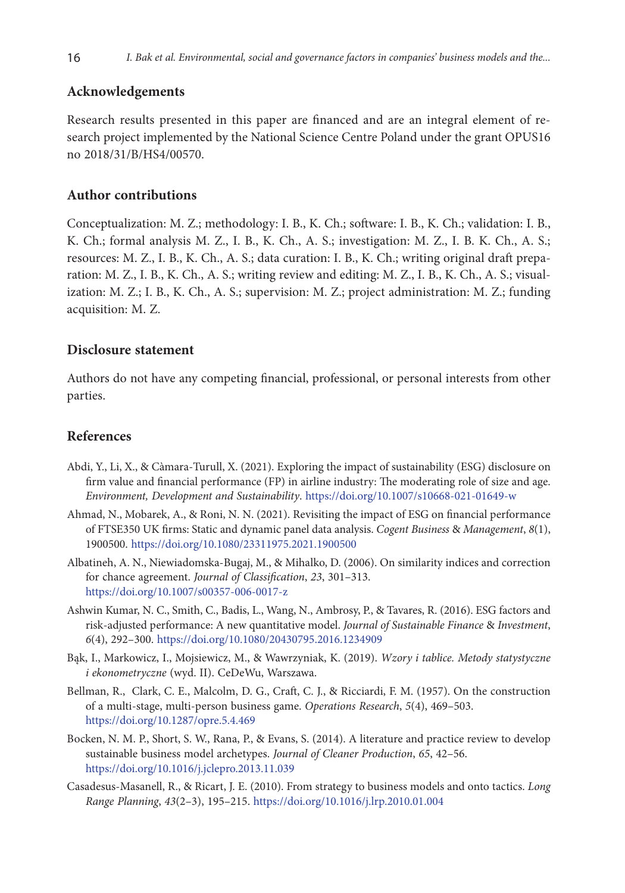## **Acknowledgements**

Research results presented in this paper are financed and are an integral element of research project implemented by the National Science Centre Poland under the grant OPUS16 no 2018/31/B/HS4/00570.

## **Author contributions**

Conceptualization: M. Z.; methodology: I. B., K. Ch.; software: I. B., K. Ch.; validation: I. B., K. Ch.; formal analysis M. Z., I. B., K. Ch., A. S.; investigation: M. Z., I. B. K. Ch., A. S.; resources: M. Z., I. B., K. Ch., A. S.; data curation: I. B., K. Ch.; writing original draft preparation: M. Z., I. B., K. Ch., A. S.; writing review and editing: M. Z., I. B., K. Ch., A. S.; visualization: M. Z.; I. B., K. Ch., A. S.; supervision: M. Z.; project administration: M. Z.; funding acquisition: M. Z.

### **Disclosure statement**

Authors do not have any competing financial, professional, or personal interests from other parties.

## **References**

- Abdi, Y., Li, X., & Càmara-Turull, X. (2021). Exploring the impact of sustainability (ESG) disclosure on firm value and financial performance (FP) in airline industry: The moderating role of size and age. *Environment, Development and Sustainability*. <https://doi.org/10.1007/s10668-021-01649-w>
- Ahmad, N., Mobarek, A., & Roni, N. N. (2021). Revisiting the impact of ESG on financial performance of FTSE350 UK firms: Static and dynamic panel data analysis. *Cogent Business* & *Management*, *8*(1), 1900500. <https://doi.org/10.1080/23311975.2021.1900500>
- Albatineh, A. N., Niewiadomska-Bugaj, M., & Mihalko, D. (2006). On similarity indices and correction for chance agreement. *Journal of Classification*, *23*, 301–313. <https://doi.org/10.1007/s00357-006-0017-z>
- Ashwin Kumar, N. C., Smith, C., Badis, L., Wang, N., Ambrosy, P., & Tavares, R. (2016). ESG factors and risk-adjusted performance: A new quantitative model. *Journal of Sustainable Finance* & *Investment*, *6*(4), 292–300. <https://doi.org/10.1080/20430795.2016.1234909>
- Bąk, I., Markowicz, I., Mojsiewicz, M., & Wawrzyniak, K. (2019). *Wzory i tablice. Metody statystyczne i ekonometryczne* (wyd. II). CeDeWu, Warszawa.
- Bellman, R., Clark, C. E., Malcolm, D. G., Craft, C. J., & Ricciardi, F. M. (1957). On the construction of a multi-stage, multi-person business game. *Operations Research*, *5*(4), 469–503. <https://doi.org/10.1287/opre.5.4.469>
- Bocken, N. M. P., Short, S. W., Rana, P., & Evans, S. (2014). A literature and practice review to develop sustainable business model archetypes. *Journal of Cleaner Production*, *65*, 42–56. <https://doi.org/10.1016/j.jclepro.2013.11.039>
- Casadesus-Masanell, R., & Ricart, J. E. (2010). From strategy to business models and onto tactics. *Long Range Planning*, *43*(2–3), 195–215. <https://doi.org/10.1016/j.lrp.2010.01.004>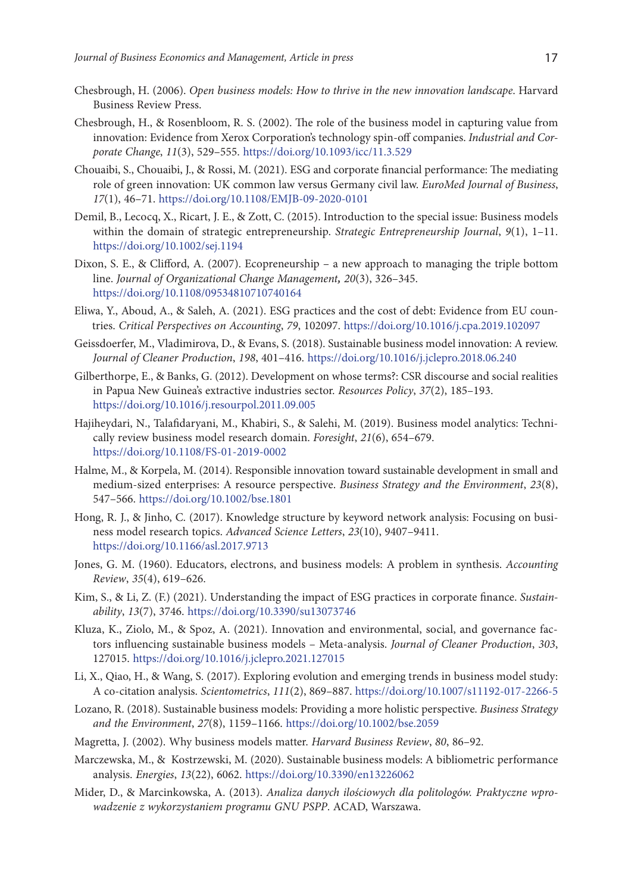- Chesbrough, H. (2006). *Open business models: How to thrive in the new innovation landscape*. Harvard Business Review Press.
- Chesbrough, H., & Rosenbloom, R. S. (2002). The role of the business model in capturing value from innovation: Evidence from Xerox Corporation's technology spin-off companies. *Industrial and Corporate Change*, *11*(3), 529–555. <https://doi.org/10.1093/icc/11.3.529>
- Chouaibi, S., Chouaibi, J., & Rossi, M. (2021). ESG and corporate financial performance: The mediating role of green innovation: UK common law versus Germany civil law. *EuroMed Journal of Business*, *17*(1), 46–71. <https://doi.org/10.1108/EMJB-09-2020-0101>
- Demil, B., Lecocq, X., Ricart, J. E., & Zott, C. (2015). Introduction to the special issue: Business models within the domain of strategic entrepreneurship. *Strategic Entrepreneurship Journal*, *9*(1), 1–11. <https://doi.org/10.1002/sej.1194>
- Dixon, S. E., & Clifford, A. (2007). Ecopreneurship a new approach to managing the triple bottom line. *Journal of Organizational Change Management, 20*(3), 326–345. <https://doi.org/10.1108/09534810710740164>
- Eliwa, Y., Aboud, A., & Saleh, A. (2021). ESG practices and the cost of debt: Evidence from EU countries. *Critical Perspectives on Accounting*, *79*, 102097. <https://doi.org/10.1016/j.cpa.2019.102097>
- Geissdoerfer, M., Vladimirova, D., & Evans, S. (2018). Sustainable business model innovation: A review. *Journal of Cleaner Production*, *198*, 401–416. <https://doi.org/10.1016/j.jclepro.2018.06.240>
- Gilberthorpe, E., & Banks, G. (2012). Development on whose terms?: CSR discourse and social realities in Papua New Guinea's extractive industries sector. *Resources Policy*, *37*(2), 185–193. <https://doi.org/10.1016/j.resourpol.2011.09.005>
- [Hajiheydari, N.](https://www.emerald.com/insight/search?q=Nastaran%20Hajiheydari), [Talafidaryani, M.,](https://www.emerald.com/insight/search?q=Mojtaba%20Talafidaryani) [Khabiri, S.,](https://www.emerald.com/insight/search?q=SeyedHossein%20Khabiri) & [Salehi, M.](https://www.emerald.com/insight/search?q=Masoud%20Salehi) (2019). Business model analytics: Technically review business model research domain. *[Foresight](https://www.emerald.com/insight/publication/issn/1463-6689)*, *21*(6), 654–679. <https://doi.org/10.1108/FS-01-2019-0002>
- Halme, M., & Korpela, M. (2014). Responsible innovation toward sustainable development in small and medium‐sized enterprises: A resource perspective. *Business Strategy and the Environment*, *23*(8), 547–566. <https://doi.org/10.1002/bse.1801>
- Hong, R. J., & Jinho, C. (2017). Knowledge structure by keyword network analysis: Focusing on business model research topics. *Advanced Science Letters*, *23*(10), 9407–9411. <https://doi.org/10.1166/asl.2017.9713>
- Jones, G. M. (1960). Educators, electrons, and business models: A problem in synthesis. *Accounting Review*, *35*(4), 619–626.
- Kim, S., & Li, Z. (F.) (2021). Understanding the impact of ESG practices in corporate finance. *Sustainability*, *13*(7), 3746. <https://doi.org/10.3390/su13073746>
- Kluza, K., Ziolo, M., & Spoz, A. (2021). Innovation and environmental, social, and governance factors influencing sustainable business models – Meta-analysis. *Journal of Cleaner Production*, *303*, 127015. <https://doi.org/10.1016/j.jclepro.2021.127015>
- Li, X., Qiao, H., & Wang, S. (2017). Exploring evolution and emerging trends in business model study: A co-citation analysis. *Scientometrics*, *111*(2), 869–887. <https://doi.org/10.1007/s11192-017-2266-5>
- Lozano, R. (2018). Sustainable business models: Providing a more holistic perspective. *Business Strategy and the Environment*, *27*(8), 1159–1166. <https://doi.org/10.1002/bse.2059>
- Magretta, J. (2002). Why business models matter. *Harvard Business Review*, *80*, 86–92.
- Marczewska, M., & Kostrzewski, M. (2020). Sustainable business models: A bibliometric performance analysis. *Energies*, *13*(22), 6062. <https://doi.org/10.3390/en13226062>
- Mider, D., & Marcinkowska, A. (2013). *Analiza danych ilościowych dla politologów. Praktyczne wprowadzenie z wykorzystaniem programu GNU PSPP*. ACAD, Warszawa.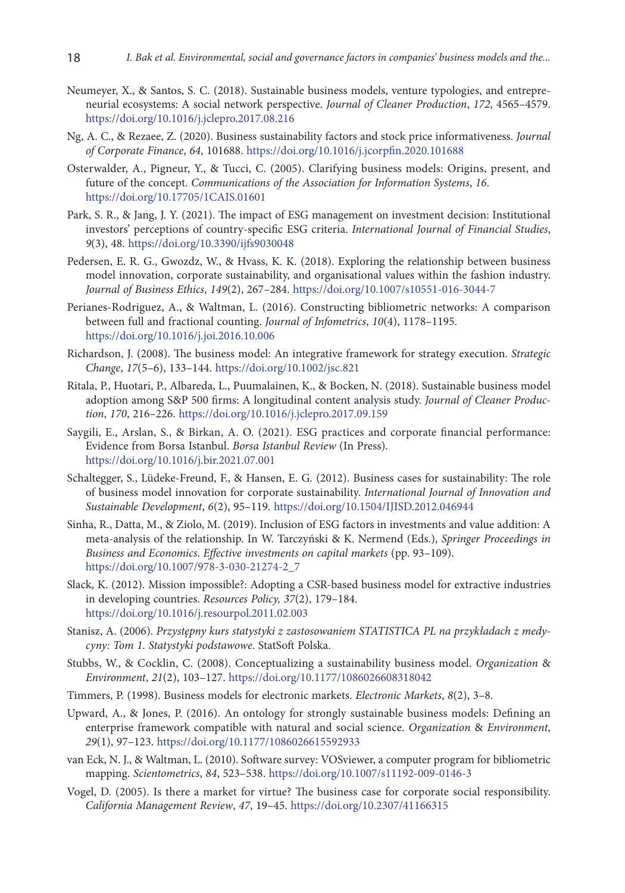- Neumeyer, X., & Santos, S. C. (2018). Sustainable business models, venture typologies, and entrepreneurial ecosystems: A social network perspective. *Journal of Cleaner Production*, *172*, 4565–4579. <https://doi.org/10.1016/j.jclepro.2017.08.216>
- Ng, A. C., & Rezaee, Z. (2020). Business sustainability factors and stock price informativeness. *Journal of Corporate Finance*, *64*, 101688. <https://doi.org/10.1016/j.jcorpfin.2020.101688>
- Osterwalder, A., Pigneur, Y., & Tucci, C. (2005). Clarifying business models: Origins, present, and future of the concept. *Communications of the Association for Information Systems*, *16*. <https://doi.org/10.17705/1CAIS.01601>
- Park, S. R., & Jang, J. Y. (2021). The impact of ESG management on investment decision: Institutional investors' perceptions of country-specific ESG criteria. *International Journal of Financial Studies*, *9*(3), 48. <https://doi.org/10.3390/ijfs9030048>
- Pedersen, E. R. G., Gwozdz, W., & Hvass, K. K. (2018). Exploring the relationship between business model innovation, corporate sustainability, and organisational values within the fashion industry. *Journal of Business Ethics*, *149*(2), 267–284. <https://doi.org/10.1007/s10551-016-3044-7>
- Perianes-Rodriguez, A., & Waltman, L. (2016). Constructing bibliometric networks: A comparison between full and fractional counting. *Journal of Infometrics*, *10*(4), 1178–1195. <https://doi.org/10.1016/j.joi.2016.10.006>
- Richardson, J. (2008). The business model: An integrative framework for strategy execution. *Strategic Change*, *17*(5–6), 133–144. <https://doi.org/10.1002/jsc.821>
- Ritala, P., Huotari, P., Albareda, L., Puumalainen, K., & Bocken, N. (2018). Sustainable business model adoption among S&P 500 firms: A longitudinal content analysis study. *Journal of Cleaner Production*, *170*, 216–226. <https://doi.org/10.1016/j.jclepro.2017.09.159>
- Saygili, E., Arslan, S., & Birkan, A. O. (2021). ESG practices and corporate financial performance: Evidence from Borsa Istanbul. *Borsa Istanbul Review* (In Press). <https://doi.org/10.1016/j.bir.2021.07.001>
- Schaltegger, S., Lüdeke-Freund, F., & Hansen, E. G. (2012). Business cases for sustainability: The role of business model innovation for corporate sustainability. *International Journal of Innovation and Sustainable Development*, *6*(2), 95–119. <https://doi.org/10.1504/IJISD.2012.046944>
- Sinha, R., Datta, M., & Ziolo, M. (2019). Inclusion of ESG factors in investments and value addition: A meta-analysis of the relationship. In W. Tarczyński & K. Nermend (Eds.), *Springer Proceedings in Business and Economics*. *Effective investments on capital markets* (pp. 93–109). [https://doi.org/10.1007/978-3-030-21274-2\\_7](https://doi.org/10.1007/978-3-030-21274-2_7)
- Slack, K. (2012). Mission impossible?: Adopting a CSR-based business model for extractive industries in developing countries. *Resources Policy, 37*(2), 179–184. <https://doi.org/10.1016/j.resourpol.2011.02.003>
- Stanisz, A. (2006). *Przystępny kurs statystyki z zastosowaniem STATISTICA PL na przykładach z medycyny: Tom 1. Statystyki podstawowe*. StatSoft Polska.
- Stubbs, W., & Cocklin, C. (2008). Conceptualizing a sustainability business model. *Organization* & *Environment*, *21*(2), 103–127. <https://doi.org/10.1177/1086026608318042>
- Timmers, P. (1998). Business models for electronic markets. *Electronic Markets*, *8*(2), 3–8.
- Upward, A., & Jones, P. (2016). An ontology for strongly sustainable business models: Defining an enterprise framework compatible with natural and social science. *Organization* & *Environment*, *29*(1), 97–123. <https://doi.org/10.1177/1086026615592933>
- van Eck, N. J., & Waltman, L. (2010). Software survey: VOSviewer, a computer program for bibliometric mapping. *Scientometrics*, *84*, 523–538. <https://doi.org/10.1007/s11192-009-0146-3>
- Vogel, D. (2005). Is there a market for virtue? The business case for corporate social responsibility. *California Management Review*, *47*, 19–45. <https://doi.org/10.2307/41166315>